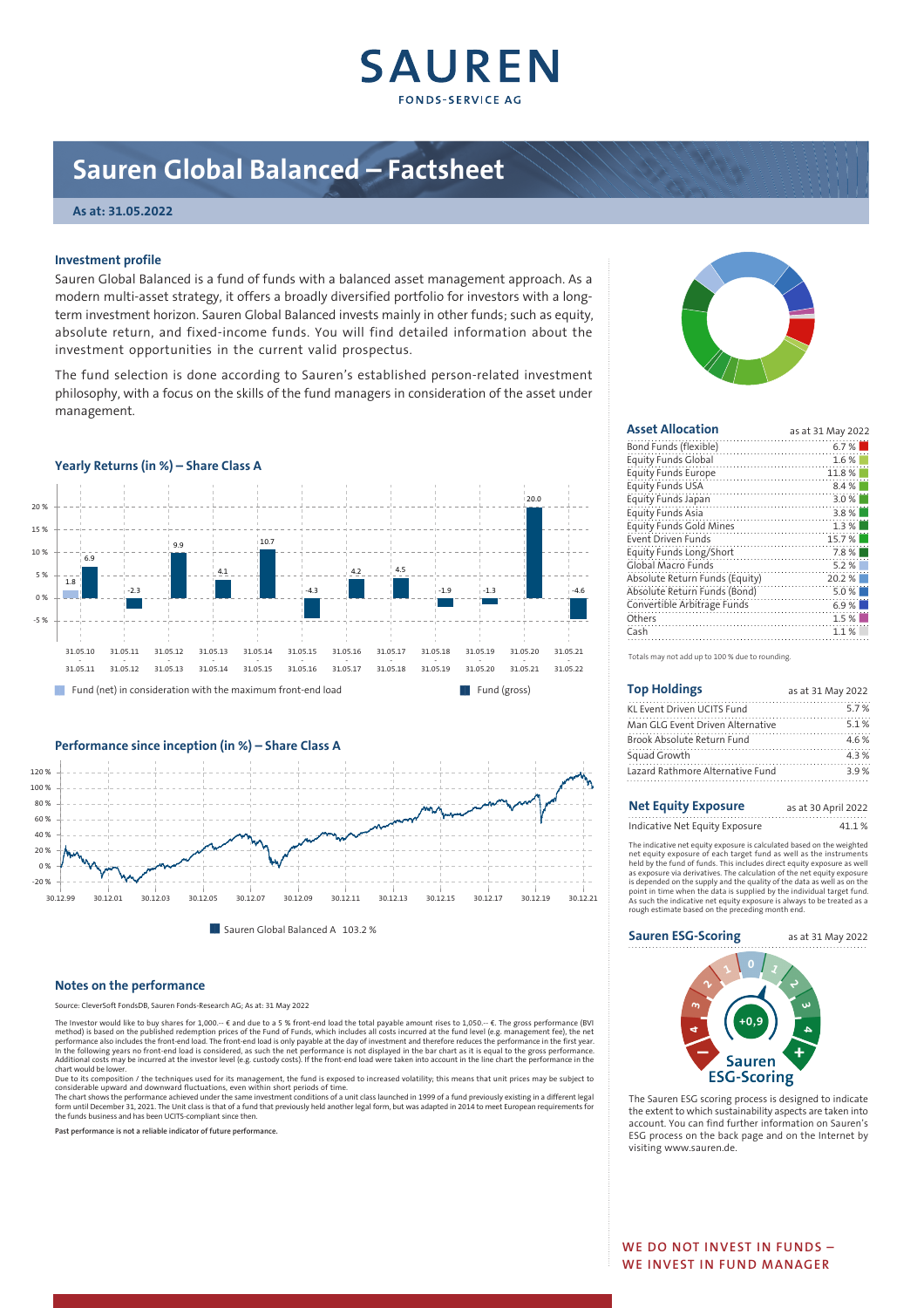

# **Sauren Global Balanced – Factsheet**

## **As at: 31.05.2022**

### **Investment profile**

Sauren Global Balanced is a fund of funds with a balanced asset management approach. As a modern multi-asset strategy, it offers a broadly diversified portfolio for investors with a longterm investment horizon. Sauren Global Balanced invests mainly in other funds; such as equity, absolute return, and fixed-income funds. You will find detailed information about the investment opportunities in the current valid prospectus.

The fund selection is done according to Sauren's established person-related investment philosophy, with a focus on the skills of the fund managers in consideration of the asset under management.





#### **Notes on the performance**

Source: CleverSoft FondsDB, Sauren Fonds-Research AG; As at: 31 May 2022

The Investor would like to buy shares for 1,000.- € and due to a 5 % front-end load the total payable amount rises to 1,050.- €. The gross performance (BVI<br>method) is based on the published redemption prices of the Fund of

chart would be lower.<br>Due to its composition / the techniques used for its management, the fund is exposed to increased volatility; this means that unit prices may be subject to<br>Considerable upward and downward fluctuation

**Past performance is not a reliable indicator of future performance.**



| <b>Asset Allocation</b>        | as at 31 May 2022 |
|--------------------------------|-------------------|
| Bond Funds (flexible)          | 6.7%              |
| <b>Equity Funds Global</b>     | 1.6 %             |
| <b>Equity Funds Europe</b>     | 11.8%             |
| <b>Equity Funds USA</b>        | 8.4%              |
| <b>Equity Funds Japan</b>      | 3.0%              |
| <b>Equity Funds Asia</b>       | 3.8%              |
| <b>Equity Funds Gold Mines</b> | 1.3%              |
| <b>Event Driven Funds</b>      | 15.7 %            |
| Equity Funds Long/Short        | $7.8\%$           |
| Global Macro Funds             | 5.2%              |
| Absolute Return Funds (Equity) | 20.2%             |
| Absolute Return Funds (Bond)   | 5.0%              |
| Convertible Arbitrage Funds    | 6.9%              |
| Others                         | 1.5%              |
| Cash                           | 1.1%              |

Totals may not add up to 100 % due to rounding.

| <b>Top Holdings</b>              | as at 31 May 2022 |  |
|----------------------------------|-------------------|--|
| KL Event Driven UCITS Fund       | 57%               |  |
| Man GLG Event Driven Alternative | 51%               |  |
| Brook Absolute Return Fund       | 46%               |  |
| Squad Growth                     | 43%               |  |
| Lazard Rathmore Alternative Fund | 39%               |  |

| <b>Net Equity Exposure</b>     | as at 30 April 2022 |
|--------------------------------|---------------------|
| Indicative Net Equity Exposure | 41.1%               |

The indicative net equity exposure is calculated based on the weighted<br>net equity exposure of each target fund as well as the instruments<br>held by the fund of funds. This includes direct equity exposure as well<br>as exposure is depended on the supply and the quality of the data as well as on the<br>point in time when the data is supplied by the individual target fund.<br>As such the indicative net equity exposure is always to be treated as a<br>rough e

# **Sauren ESG-Scoring** as at 31 May 2022



The Sauren ESG scoring process is designed to indicate the extent to which sustainability aspects are taken into account. You can find further information on Sauren's ESG process on the back page and on the Internet by visiting www.sauren.de.

**WE DO NOT INVEST IN FUNDS – WE INVEST IN FUND MANAGER**